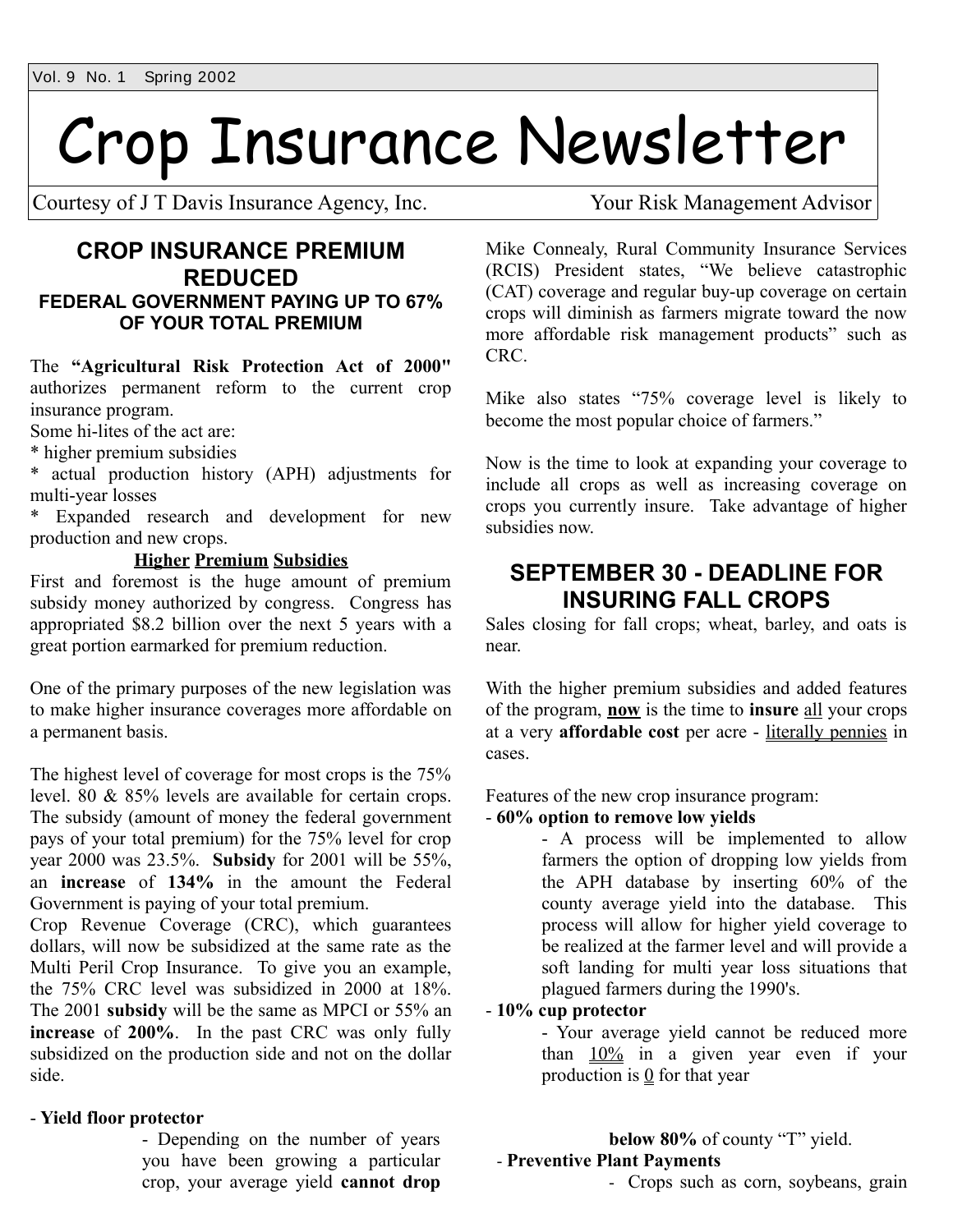# Crop Insurance Newsletter

Courtesy of J T Davis Insurance Agency, Inc. Your Risk Management Advisor

### **CROP INSURANCE PREMIUM REDUCED FEDERAL GOVERNMENT PAYING UP TO 67% OF YOUR TOTAL PREMIUM**

The **"Agricultural Risk Protection Act of 2000"** authorizes permanent reform to the current crop insurance program.

Some hi-lites of the act are:

\* higher premium subsidies

\* actual production history (APH) adjustments for multi-year losses

\* Expanded research and development for new production and new crops.

#### **Higher Premium Subsidies**

First and foremost is the huge amount of premium subsidy money authorized by congress. Congress has appropriated \$8.2 billion over the next 5 years with a great portion earmarked for premium reduction.

One of the primary purposes of the new legislation was to make higher insurance coverages more affordable on a permanent basis.

The highest level of coverage for most crops is the 75% level. 80 & 85% levels are available for certain crops. The subsidy (amount of money the federal government pays of your total premium) for the 75% level for crop year 2000 was 23.5%. **Subsidy** for 2001 will be 55%, an **increase** of **134%** in the amount the Federal Government is paying of your total premium.

Crop Revenue Coverage (CRC), which guarantees dollars, will now be subsidized at the same rate as the Multi Peril Crop Insurance. To give you an example, the 75% CRC level was subsidized in 2000 at 18%. The 2001 **subsidy** will be the same as MPCI or 55% an **increase** of **200%**. In the past CRC was only fully subsidized on the production side and not on the dollar side.

#### - **Yield floor protector**

- Depending on the number of years you have been growing a particular crop, your average yield **cannot drop**

Mike Connealy, Rural Community Insurance Services (RCIS) President states, "We believe catastrophic (CAT) coverage and regular buy-up coverage on certain crops will diminish as farmers migrate toward the now more affordable risk management products" such as CRC.

Mike also states "75% coverage level is likely to become the most popular choice of farmers."

Now is the time to look at expanding your coverage to include all crops as well as increasing coverage on crops you currently insure. Take advantage of higher subsidies now.

## **SEPTEMBER 30 - DEADLINE FOR INSURING FALL CROPS**

Sales closing for fall crops; wheat, barley, and oats is near.

With the higher premium subsidies and added features of the program, **now** is the time to **insure** all your crops at a very **affordable cost** per acre - literally pennies in cases.

Features of the new crop insurance program:

#### - **60% option to remove low yields**

- A process will be implemented to allow farmers the option of dropping low yields from the APH database by inserting 60% of the county average yield into the database. This process will allow for higher yield coverage to be realized at the farmer level and will provide a soft landing for multi year loss situations that plagued farmers during the 1990's.

#### - **10% cup protector**

- Your average yield cannot be reduced more than 10% in a given year even if your production is  $\Omega$  for that year

## **below 80%** of county "T" yield.

#### - **Preventive Plant Payments**

- Crops such as corn, soybeans, grain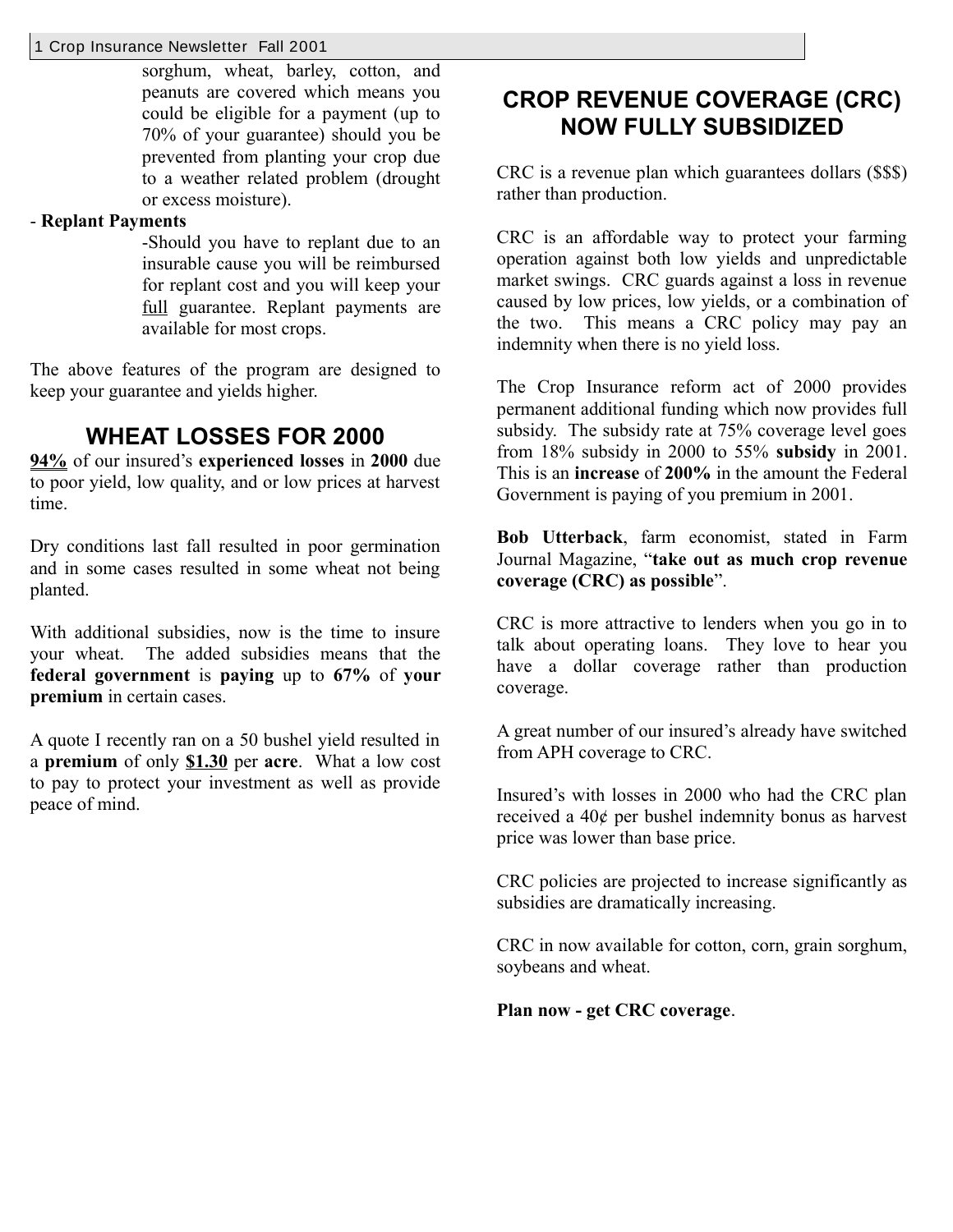#### 1 Crop Insurance Newsletter Fall 2001

sorghum, wheat, barley, cotton, and peanuts are covered which means you could be eligible for a payment (up to 70% of your guarantee) should you be prevented from planting your crop due to a weather related problem (drought or excess moisture).

#### - **Replant Payments**

-Should you have to replant due to an insurable cause you will be reimbursed for replant cost and you will keep your full guarantee. Replant payments are available for most crops.

The above features of the program are designed to keep your guarantee and yields higher.

## **WHEAT LOSSES FOR 2000**

**94%** of our insured's **experienced losses** in **2000** due to poor yield, low quality, and or low prices at harvest time.

Dry conditions last fall resulted in poor germination and in some cases resulted in some wheat not being planted.

With additional subsidies, now is the time to insure your wheat. The added subsidies means that the **federal government** is **paying** up to **67%** of **your premium** in certain cases.

A quote I recently ran on a 50 bushel yield resulted in a **premium** of only **\$1.30** per **acre**. What a low cost to pay to protect your investment as well as provide peace of mind.

## **CROP REVENUE COVERAGE (CRC) NOW FULLY SUBSIDIZED**

CRC is a revenue plan which guarantees dollars (\$\$\$) rather than production.

CRC is an affordable way to protect your farming operation against both low yields and unpredictable market swings. CRC guards against a loss in revenue caused by low prices, low yields, or a combination of the two. This means a CRC policy may pay an indemnity when there is no yield loss.

The Crop Insurance reform act of 2000 provides permanent additional funding which now provides full subsidy. The subsidy rate at 75% coverage level goes from 18% subsidy in 2000 to 55% **subsidy** in 2001. This is an **increase** of **200%** in the amount the Federal Government is paying of you premium in 2001.

**Bob Utterback**, farm economist, stated in Farm Journal Magazine, "**take out as much crop revenue coverage (CRC) as possible**".

CRC is more attractive to lenders when you go in to talk about operating loans. They love to hear you have a dollar coverage rather than production coverage.

A great number of our insured's already have switched from APH coverage to CRC.

Insured's with losses in 2000 who had the CRC plan received a 40¢ per bushel indemnity bonus as harvest price was lower than base price.

CRC policies are projected to increase significantly as subsidies are dramatically increasing.

CRC in now available for cotton, corn, grain sorghum, soybeans and wheat.

**Plan now - get CRC coverage**.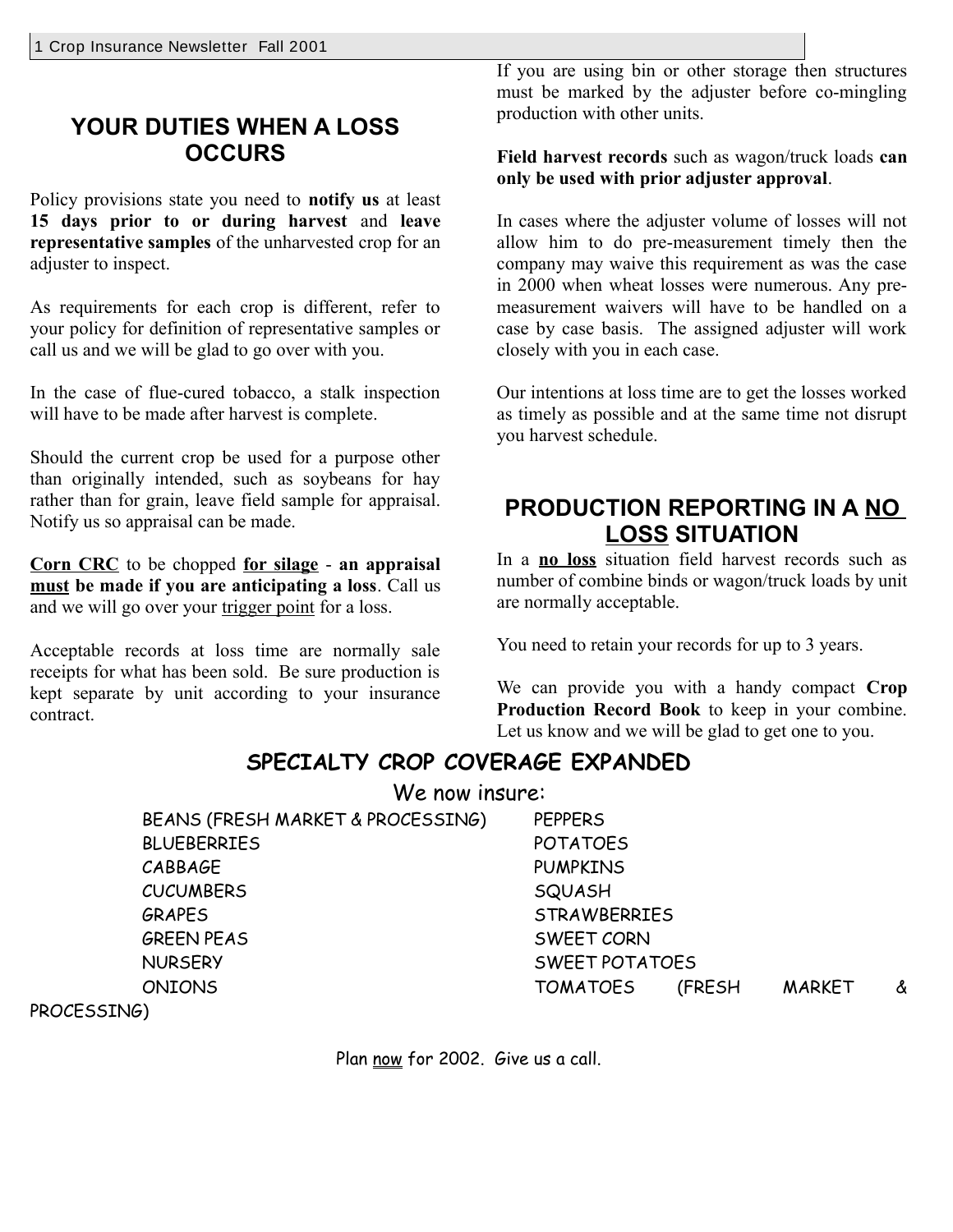## **YOUR DUTIES WHEN A LOSS OCCURS**

Policy provisions state you need to **notify us** at least **15 days prior to or during harvest** and **leave representative samples** of the unharvested crop for an adjuster to inspect.

As requirements for each crop is different, refer to your policy for definition of representative samples or call us and we will be glad to go over with you.

In the case of flue-cured tobacco, a stalk inspection will have to be made after harvest is complete.

Should the current crop be used for a purpose other than originally intended, such as soybeans for hay rather than for grain, leave field sample for appraisal. Notify us so appraisal can be made.

**Corn CRC** to be chopped **for silage** - **an appraisal must be made if you are anticipating a loss**. Call us and we will go over your trigger point for a loss.

Acceptable records at loss time are normally sale receipts for what has been sold. Be sure production is kept separate by unit according to your insurance contract.

If you are using bin or other storage then structures must be marked by the adjuster before co-mingling production with other units.

**Field harvest records** such as wagon/truck loads **can only be used with prior adjuster approval**.

In cases where the adjuster volume of losses will not allow him to do pre-measurement timely then the company may waive this requirement as was the case in 2000 when wheat losses were numerous. Any premeasurement waivers will have to be handled on a case by case basis. The assigned adjuster will work closely with you in each case.

Our intentions at loss time are to get the losses worked as timely as possible and at the same time not disrupt you harvest schedule.

## **PRODUCTION REPORTING IN A NO LOSS SITUATION**

In a **no loss** situation field harvest records such as number of combine binds or wagon/truck loads by unit are normally acceptable.

You need to retain your records for up to 3 years.

We can provide you with a handy compact **Crop Production Record Book** to keep in your combine. Let us know and we will be glad to get one to you.

## **SPECIALTY CROP COVERAGE EXPANDED**

We now insure:

BEANS (FRESH MARKET & PROCESSING) PEPPERS BLUEBERRIES POTATOES CABBAGE PUMPKINS CUCUMBERS SQUASH GRAPES STRAWBERRIES GREEN PEAS SWEET CORN NURSERY SWEET POTATOES ONIONS TOMATOES (FRESH MARKET &

PROCESSING)

Plan now for 2002. Give us a call.